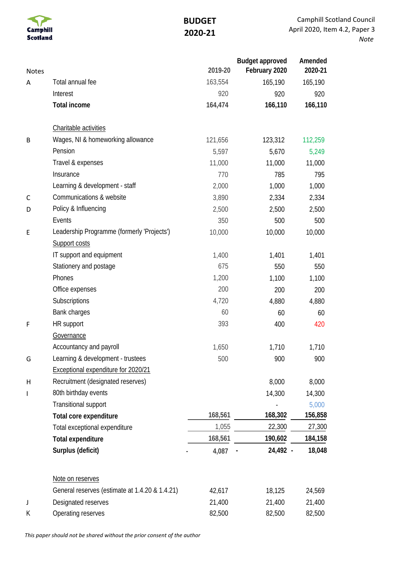

## **BUDGET 2020-21**

| <b>Notes</b> |                                                | 2019-20 | <b>Budget approved</b><br>February 2020 | Amended<br>2020-21 |
|--------------|------------------------------------------------|---------|-----------------------------------------|--------------------|
| A            | Total annual fee                               | 163,554 | 165,190                                 | 165,190            |
|              | Interest                                       | 920     | 920                                     | 920                |
|              | <b>Total income</b>                            | 164,474 | 166,110                                 | 166,110            |
|              | Charitable activities                          |         |                                         |                    |
| B            | Wages, NI & homeworking allowance              | 121,656 | 123,312                                 | 112,259            |
|              | Pension                                        | 5,597   | 5,670                                   | 5,249              |
|              | Travel & expenses                              | 11,000  | 11,000                                  | 11,000             |
|              | Insurance                                      | 770     | 785                                     | 795                |
|              | Learning & development - staff                 | 2,000   | 1,000                                   | 1,000              |
| C            | Communications & website                       | 3,890   | 2,334                                   | 2,334              |
| D            | Policy & Influencing                           | 2,500   | 2,500                                   | 2,500              |
|              | Events                                         | 350     | 500                                     | 500                |
| E            | Leadership Programme (formerly 'Projects')     | 10,000  | 10,000                                  | 10,000             |
|              | Support costs                                  |         |                                         |                    |
|              | IT support and equipment                       | 1,400   | 1,401                                   | 1,401              |
|              | Stationery and postage                         | 675     | 550                                     | 550                |
|              | Phones                                         | 1,200   | 1,100                                   | 1,100              |
|              | Office expenses                                | 200     | 200                                     | 200                |
|              | Subscriptions                                  | 4,720   | 4,880                                   | 4,880              |
|              | Bank charges                                   | 60      | 60                                      | 60                 |
| F            | HR support                                     | 393     | 400                                     | 420                |
|              | Governance                                     |         |                                         |                    |
|              | Accountancy and payroll                        | 1,650   | 1,710                                   | 1,710              |
| G            | Learning & development - trustees              | 500     | 900                                     | 900                |
|              | Exceptional expenditure for 2020/21            |         |                                         |                    |
| Н            | Recruitment (designated reserves)              |         | 8,000                                   | 8,000              |
| ı            | 80th birthday events                           |         | 14,300                                  | 14,300             |
|              | Transitional support                           |         |                                         | 5,000              |
|              | Total core expenditure                         | 168,561 | 168,302                                 | 156,858            |
|              | Total exceptional expenditure                  | 1,055   | 22,300                                  | 27,300             |
|              | <b>Total expenditure</b>                       | 168,561 | 190,602                                 | 184,158            |
|              | Surplus (deficit)                              | 4,087   | 24,492 -                                | 18,048             |
|              | Note on reserves                               |         |                                         |                    |
|              | General reserves (estimate at 1.4.20 & 1.4.21) | 42,617  | 18,125                                  | 24,569             |
| J            | Designated reserves                            | 21,400  | 21,400                                  | 21,400             |
| К            | Operating reserves                             | 82,500  | 82,500                                  | 82,500             |

*This paper should not be shared without the prior consent of the author*